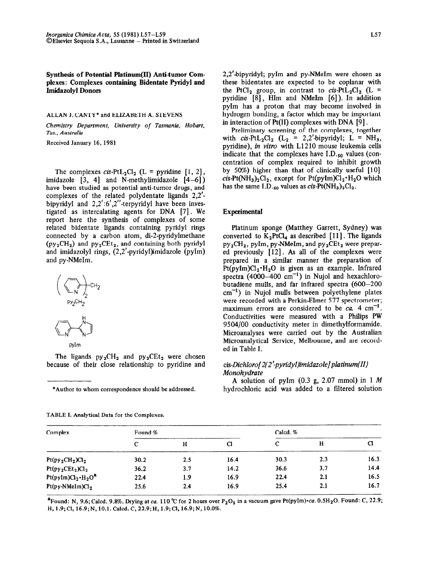Synthesis of Potential Platinum(II) Anti-tumor Com**plexes: Complexes containing Bidentate Pyridyl and Imidazolyl Donors** 

**ALLAN J. CANTY \* and ELIZABETH A. STEVENS** 

*Chemistry Department, University of Tasmania. Hobart, Tas., Australia* 

**Received January 16, 1981** 

The complexes cis-PtL<sub>2</sub>Cl<sub>2</sub> (L = pyridine [1, 2], imidazole  $[3, 4]$  and N-methylimidazole  $[4-6]$ ) have been studied as potential anti-tumor drugs, and complexes of the related polydentate ligands 2,2' bipyridyl and  $2,2'$ :6',2''-terpyridyl have been investigated as intercalating agents for DNA [7]. We report here the synthesis of complexes of some related bidentate ligands containing pyridyl rings connected by a carbon atom, di-2-pyridylmethane  $(py_2CH_2)$  and  $py_2CEt_2$ , and containing both pyridyl and imidazolyl rings, (2,2'-pyridyl)imidazole (pyIm) and py-NMeIm.



$$
\mathsf{pyIm}\,
$$

The ligands  $py_2CH_2$  and  $py_2CEt_2$  were chosen because of their close relationship to pyridine and

**\*Author to whom correspondence should be addressed.** 

**TABLE I. Analytical Data for the Complexes.** 

2,2'-bipyridyl; pyIm and py-NMeIm were chosen as these bidentates are expected to be coplanar with the PtCl<sub>2</sub> group, in contrast to cis-PtL<sub>2</sub>Cl<sub>2</sub> (L = pyridine [8] , Him and NMeIm [6]). In addition pyIm has a proton that may become involved in hydrogen bonding, a factor which may be important in interaction of  $Pt(II)$  complexes with DNA [9].

Preliminary screening of the complexes, together with  $cis-PtL_2Cl_2$  (L<sub>2</sub> = 2,2'-bipyridyl; L = NH<sub>3</sub>, pyridine), *in vitro* with L1210 mouse leukemia cells indicate that the complexes have  $I.D._50$  values (concentration of complex required to inhibit growth by 50%) higher than that of clinically useful [10] cis-Pt(NH<sub>3</sub>)<sub>2</sub>Cl<sub>2</sub>, except for Pt(pyIm)Cl<sub>2</sub> $\cdot$ H<sub>2</sub>O which has the same I.D.<sub>50</sub> values as *cis*-Pt(NH<sub>3</sub>)<sub>2</sub>Cl<sub>2</sub>.

#### **Experimental**

Platinum sponge (Matthey Garrett, Sydney) was converted to  $K_2PtCl_4$  as described [11]. The ligands  $py_2CH_2$ , pyIm, py-NMeIm, and  $py_2CEt_2$  were prepared previously  $[12]$ . As all of the complexes were prepared in a similar manner the preparation of  $Pt(pyIm)Cl_2 \cdot H_2O$  is given as an example. Infrared spectra  $(4000-400 \text{ cm}^{-1})$  in Nujol and hexachlorobutadiene mulls, and far infrared spectra (600-200  $cm^{-1}$ ) in Nujol mulls between polyethylene plates were recorded with a Perkin-Elmer 577 spectrometer; maximum errors are considered to be  $ca$ . 4  $cm^{-1}$ . Conductivities were measured with a Philips PW 9504/00 conductivity meter in dimethylformamide. Microanalyses were carried out by the Australian Microanalytical Service, Melbourne, and are recorded in Table I.

# *cis-Lkhloro[2(2'-pyn~dyl)imidazole]platinum(II) Monohydrate*

A solution of pyIm (0.3 g, 2.07 mmol) in 1 *M*  hydrochloric acid was added to a filtered solution

| Complex                      | Found % |     |      | Calcd. % |     |      |  |
|------------------------------|---------|-----|------|----------|-----|------|--|
|                              | с       | н   | Cl   | с        | н   | Cl   |  |
| $Pt(py_2CH_2)Cl_2$           | 30.2    | 2.5 | 16.4 | 30.3     | 2.3 | 16.3 |  |
| $Pt(py_2CEt_2)Cl_2$          | 36.2    | 3.7 | 14.2 | 36.6     | 3.7 | 14.4 |  |
| $Pt(pyIm)Cl_2 \cdot H_2 O^a$ | 22.4    | 1.9 | 16.9 | 22.4     | 2.1 | 16.5 |  |
| $Pt(py-NMelm)Cl2$            | 25.6    | 2.4 | 16.9 | 25.4     | 2.1 | 16.7 |  |

<sup>a</sup> Found: N, 9.6; Calcd. 9.8%. Drying at ca. 110 °C for 2 hours over  $P_2O_5$  in a vacuum gave Pt(pyIm) $\cdot$ ca. 0.5H<sub>2</sub>O. Found: C, 22.9; **H, 1.9;Cl, 16.9;N, 10.1. Calcd.C, 22.9;H, 1.9;Cl, 16.9;N, 10.0%.**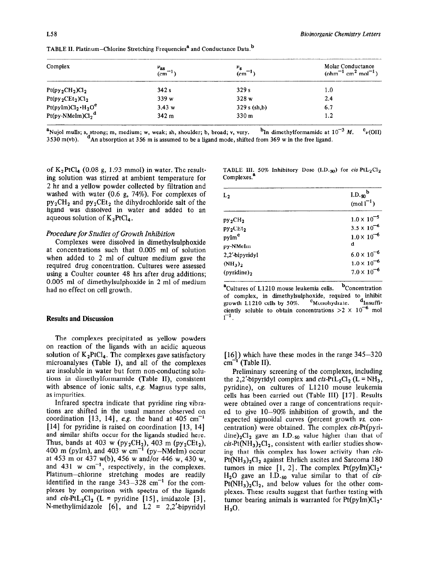| Complex                                                                                             | $v_{\text{as}}$<br>(cm <sup>-1</sup> ) | $\epsilon$ <sub>cm</sub> $^{-1}$ | Molar Conductance<br>$(bhm^{-1}$ cm <sup>2</sup> mol <sup>-1</sup> ) |  |
|-----------------------------------------------------------------------------------------------------|----------------------------------------|----------------------------------|----------------------------------------------------------------------|--|
| $Pt(py_2CH_2)Cl_2$                                                                                  | 342s                                   | 329s                             | $1.0\,$                                                              |  |
| $Pt(py_2CEt_2)Cl_2$                                                                                 | 339w                                   | 328 w                            | 2.4                                                                  |  |
|                                                                                                     | 3.43 w                                 | 329 s (sh,b)                     | 6.7                                                                  |  |
| Pt(pyIm)Cl <sub>2</sub> • H <sub>2</sub> O <sup>c</sup><br>Pt(py-NMeIm)Cl <sub>2</sub> <sup>d</sup> | 342 <sub>m</sub>                       | 330 <sub>m</sub>                 | 1.2                                                                  |  |

TABLE II. Platinum-Chlorine Stretching Frequencies<sup>8</sup> and Conductance Data.<sup>b</sup>

aNujol mulls; s, strong; m, medium; w, weak; sh, shoulder; b, broad; v, very. bin dimethylformamide at  $10^{-3}$  M.  $v(\text{OH})$ 3530 m(vb). <sup>d</sup>An absorption at 356 m is assumed to be a ligand mode, shifted from 369 w in the free ligand.

of  $K_2$ PtCl<sub>4</sub> (0.08 g, 1.93 mmol) in water. The resulting solution was stirred at ambient temperature for 2 hr and a yellow powder collected by filtration and washed with water (0.6 g, 74%). For complexes of  $py_2CH_2$  and  $py_2CEt_2$  the dihydrochloride salt of the ligand was dissolved in water and added to an aqueous solution of  $K_2PtCl_4$ .

## *Procedure for Studies of Growth Inhibition*

Complexes were dissolved in dimethylsulphoxide at concentrations such that 0.005 ml of solution when added to 2 ml of culture medium gave the required drug concentration. Cultures were assessed using a Coulter counter 48 hrs after drug additions; 0.005 ml of dimethylsulphoxide in 2 ml of medium had no effect on cell growth.

## **Results and Discussion**

**The** complexes precipitated as yellow powders on reaction of the ligands with an acidic aqueous solution of  $K_2PtCl_4$ . The complexes gave satisfactory microanalyses (Table I), and all of the complexes are insoluble in water but form non-conducting solutions in dimethylformamide (Table II), consistent with absence of ionic salts, e.g. Magnus type salts, as impurities.

Infrared spectra indicate that pyridine ring vibrations are shifted in the usual manner observed on coordination  $[13, 14]$ , *e.g.* the band at 405 cm<sup>-1</sup> [14] for pyridine is raised on coordination [13, 14] and similar shifts occur for the ligands studied here. Thus, bands at 403 w (py<sub>2</sub>CH<sub>2</sub>), 403 m (py<sub>2</sub>CEt<sub>2</sub>) 400 m (pyIm), and 403 w cm<sup>-1</sup> (py-NMeIm) occur at 453 m or 437 w(b), 456 w and/or 446 w, 430 w, and  $431 \text{ w cm}^{-1}$ , respectively, in the complexes. Platinum-chlorine stretching modes are readily identified in the range  $343-328$  cm<sup>-1</sup> for the complexes by comparison with spectra of the ligands and  $cis-PtL_2Cl_2$  (L = pyridine [15], imidazole [3], N-methylimidazole  $[6]$ , and L2 = 2,2'-bipyridyl

|                         |  |  |  | TABLE III. 50% Inhibitory Dose (I.D. <sub>50</sub> ) for <i>cis</i> -PtL <sub>2</sub> Cl <sub>2</sub> |
|-------------------------|--|--|--|-------------------------------------------------------------------------------------------------------|
| Complexes. <sup>a</sup> |  |  |  |                                                                                                       |

| $(mol1^{-1})$        |
|----------------------|
| $1.0 \times 10^{-5}$ |
| $3.5 \times 10^{-6}$ |
| $1.0 \times 10^{-6}$ |
| d                    |
| $6.0 \times 10^{-6}$ |
| $1.0 \times 10^{-6}$ |
| $7.0 \times 10^{-6}$ |
|                      |

<sup>a</sup>Cultures of L1210 mouse leukemia cells. <sup>b</sup>Concentration of complex, in dimethylsulphoxide, required to inhibit growth L1210 cells by 50%. CMonohydrate. dlnsuffigrowth  $L1210$  cells by 50%.  $\degree$  Monohydrate. ciently soluble to obtain concentrations  $>2 \times 10^{-6}$  mol  $1^{-1}$ .

[16]) which have these modes in the range 345-320  $cm^{-1}$  (Table II).

Preliminary screening of the complexes, including the 2,2'-bipyridyl complex and cis-PtL<sub>2</sub>Cl<sub>2</sub> (L = NH<sub>3</sub>, pyridine), on cultures of L1210 mouse leukemia cells has been carried out (Table III) [17]. Results were obtained over a range of concentrations required to give lo-90% inhibition of growth, and the expected sigmoidal curves (percent growth vs. concentration) were obtained. The complex *cis-Pt(pyri*dine)<sub>2</sub>Cl<sub>2</sub> gave an I.D.<sub>50</sub> value higher than that of  $cis-Pt(NH_3)_2Cl_2$ , consistent with earlier studies showing that this complex has lower activity than *cis-* $Pt(NH<sub>3</sub>)<sub>2</sub>Cl<sub>2</sub>$  against Ehrlich ascites and Sarcoma 180 tumors in mice  $[1, 2]$ . The complex Pt(pyIm)Cl<sub>2</sub><sup>\*</sup> Hz0 gave an I.D.se value similar to that of *cis-* $Pt(NH<sub>3</sub>)<sub>2</sub>Cl<sub>2</sub>$ , and below values for the other complexes. These results suggest that further testing with tumor bearing animals is warranted for  $Pt(pyIm)Cl_2$ <sup>\*</sup>  $H<sub>2</sub>O$ .